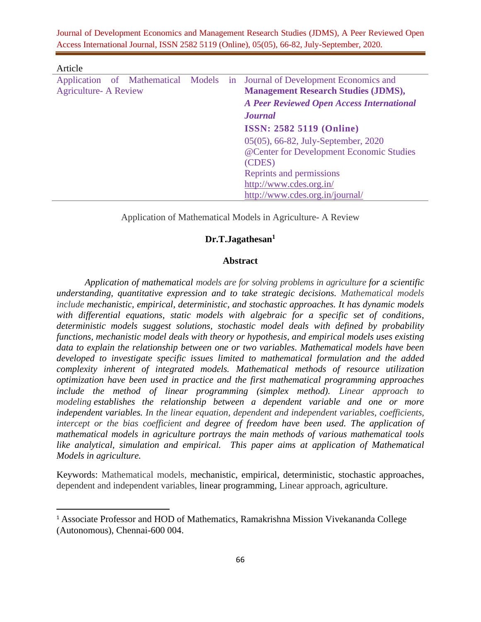| Article                               |  |  |                                                  |
|---------------------------------------|--|--|--------------------------------------------------|
| Application of Mathematical Models in |  |  | Journal of Development Economics and             |
| <b>Agriculture- A Review</b>          |  |  | <b>Management Research Studies (JDMS),</b>       |
|                                       |  |  | <b>A Peer Reviewed Open Access International</b> |
|                                       |  |  | <i><b>Journal</b></i>                            |
|                                       |  |  | <b>ISSN: 2582 5119 (Online)</b>                  |
|                                       |  |  | 05(05), 66-82, July-September, 2020              |
|                                       |  |  | @Center for Development Economic Studies         |
|                                       |  |  | (CDES)                                           |
|                                       |  |  | Reprints and permissions                         |
|                                       |  |  | http://www.cdes.org.in/                          |
|                                       |  |  | http://www.cdes.org.in/journal/                  |

Application of Mathematical Models in Agriculture- A Review

# **Dr.T.Jagathesan<sup>1</sup>**

### **Abstract**

*Application of mathematical models are for solving problems in agriculture for a scientific understanding, quantitative expression and to take strategic decisions. Mathematical models include mechanistic, empirical, deterministic, and stochastic approaches. It has dynamic models with differential equations, static models with algebraic for a specific set of conditions, deterministic models suggest solutions, stochastic model deals with defined by probability functions, mechanistic model deals with theory or hypothesis, and empirical models uses existing data to explain the relationship between one or two variables. Mathematical models have been developed to investigate specific issues limited to mathematical formulation and the added complexity inherent of integrated models. Mathematical methods of resource utilization optimization have been used in practice and the first mathematical programming approaches include the method of linear programming (simplex method). Linear approach to modeling establishes the relationship between a dependent variable and one or more independent variables. In the linear equation, dependent and independent variables, coefficients, intercept or the bias coefficient and degree of freedom have been used. The application of mathematical models in agriculture portrays the main methods of various mathematical tools like analytical, simulation and empirical. This paper aims at application of Mathematical Models in agriculture.*

Keywords: Mathematical models, mechanistic, empirical, deterministic, stochastic approaches, dependent and independent variables, linear programming, Linear approach, agriculture.

<sup>&</sup>lt;sup>1</sup> Associate Professor and HOD of Mathematics, Ramakrishna Mission Vivekananda College (Autonomous), Chennai-600 004.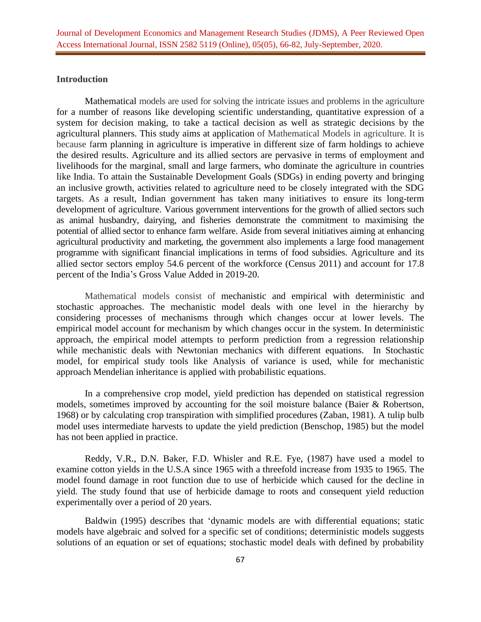## **Introduction**

Mathematical models are used for solving the intricate issues and problems in the agriculture for a number of reasons like developing scientific understanding, quantitative expression of a system for decision making, to take a tactical decision as well as strategic decisions by the agricultural planners. This study aims at application of Mathematical Models in agriculture. It is because farm planning in agriculture is imperative in different size of farm holdings to achieve the desired results. Agriculture and its allied sectors are pervasive in terms of employment and livelihoods for the marginal, small and large farmers, who dominate the agriculture in countries like India. To attain the Sustainable Development Goals (SDGs) in ending poverty and bringing an inclusive growth, activities related to agriculture need to be closely integrated with the SDG targets. As a result, Indian government has taken many initiatives to ensure its long-term development of agriculture. Various government interventions for the growth of allied sectors such as animal husbandry, dairying, and fisheries demonstrate the commitment to maximising the potential of allied sector to enhance farm welfare. Aside from several initiatives aiming at enhancing agricultural productivity and marketing, the government also implements a large food management programme with significant financial implications in terms of food subsidies. Agriculture and its allied sector sectors employ 54.6 percent of the workforce (Census 2011) and account for 17.8 percent of the India's Gross Value Added in 2019-20.

Mathematical models consist of mechanistic and empirical with deterministic and stochastic approaches. The mechanistic model deals with one level in the hierarchy by considering processes of mechanisms through which changes occur at lower levels. The empirical model account for mechanism by which changes occur in the system. In deterministic approach, the empirical model attempts to perform prediction from a regression relationship while mechanistic deals with Newtonian mechanics with different equations. In Stochastic model, for empirical study tools like Analysis of variance is used, while for mechanistic approach Mendelian inheritance is applied with probabilistic equations.

In a comprehensive crop model, yield prediction has depended on statistical regression models, sometimes improved by accounting for the soil moisture balance (Baier & Robertson, 1968) or by calculating crop transpiration with simplified procedures (Zaban, 1981). A tulip bulb model uses intermediate harvests to update the yield prediction (Benschop, 1985) but the model has not been applied in practice.

Reddy, V.R., D.N. Baker, F.D. Whisler and R.E. Fye, (1987) have used a model to examine cotton yields in the U.S.A since 1965 with a threefold increase from 1935 to 1965. The model found damage in root function due to use of herbicide which caused for the decline in yield. The study found that use of herbicide damage to roots and consequent yield reduction experimentally over a period of 20 years.

Baldwin (1995) describes that 'dynamic models are with differential equations; static models have algebraic and solved for a specific set of conditions; deterministic models suggests solutions of an equation or set of equations; stochastic model deals with defined by probability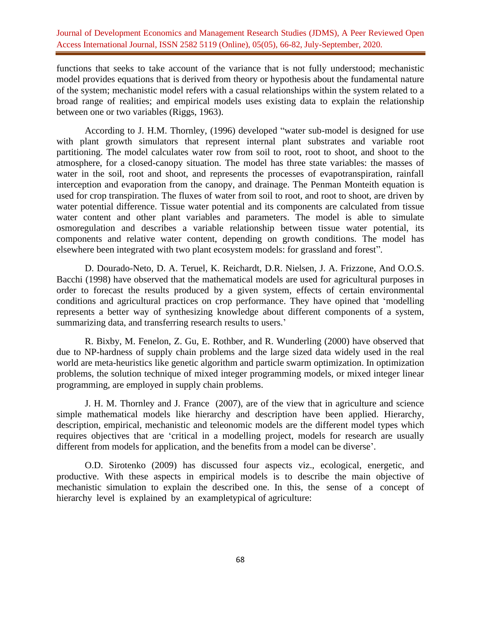functions that seeks to take account of the variance that is not fully understood; mechanistic model provides equations that is derived from theory or hypothesis about the fundamental nature of the system; mechanistic model refers with a casual relationships within the system related to a broad range of realities; and empirical models uses existing data to explain the relationship between one or two variables (Riggs, 1963).

According to J. H.M. Thornley, (1996) developed "water sub-model is designed for use with plant growth simulators that represent internal plant substrates and variable root partitioning. The model calculates water row from soil to root, root to shoot, and shoot to the atmosphere, for a closed-canopy situation. The model has three state variables: the masses of water in the soil, root and shoot, and represents the processes of evapotranspiration, rainfall interception and evaporation from the canopy, and drainage. The Penman Monteith equation is used for crop transpiration. The fluxes of water from soil to root, and root to shoot, are driven by water potential difference. Tissue water potential and its components are calculated from tissue water content and other plant variables and parameters. The model is able to simulate osmoregulation and describes a variable relationship between tissue water potential, its components and relative water content, depending on growth conditions. The model has elsewhere been integrated with two plant ecosystem models: for grassland and forest".

D. Dourado-Neto, D. A. Teruel, K. Reichardt, D.R. Nielsen, J. A. Frizzone, And O.O.S. Bacchi (1998) have observed that the mathematical models are used for agricultural purposes in order to forecast the results produced by a given system, effects of certain environmental conditions and agricultural practices on crop performance. They have opined that 'modelling represents a better way of synthesizing knowledge about different components of a system, summarizing data, and transferring research results to users.'

R. Bixby, M. Fenelon, Z. Gu, E. Rothber, and R. Wunderling (2000) have observed that due to NP-hardness of supply chain problems and the large sized data widely used in the real world are meta-heuristics like genetic algorithm and particle swarm optimization. In optimization problems, the solution technique of mixed integer programming models, or mixed integer linear programming, are employed in supply chain problems.

J. H. M. Thornley and J. France (2007), are of the view that in agriculture and science simple mathematical models like hierarchy and description have been applied. Hierarchy, description, empirical, mechanistic and teleonomic models are the different model types which requires objectives that are 'critical in a modelling project, models for research are usually different from models for application, and the benefits from a model can be diverse'.

O.D. Sirotenko (2009) has discussed four aspects viz., ecological, energetic, and productive. With these aspects in empirical models is to describe the main objective of mechanistic simulation to explain the described one. In this, the sense of a concept of hierarchy level is explained by an exampletypical of agriculture: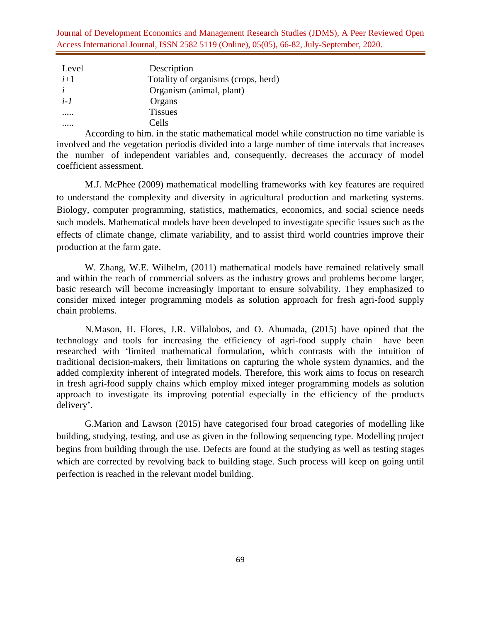| Level       | Description                         |
|-------------|-------------------------------------|
| $i+1$       | Totality of organisms (crops, herd) |
|             | Organism (animal, plant)            |
| <i>i</i> -1 | Organs                              |
|             | <b>Tissues</b>                      |
|             | Cells                               |

According to him. in the static mathematical model while construction no time variable is involved and the vegetation periodis divided into a large number of time intervals that increases the number of independent variables and, consequently, decreases the accuracy of model coefficient assessment.

M.J. McPhee (2009) mathematical modelling frameworks with key features are required to understand the complexity and diversity in agricultural production and marketing systems. Biology, computer programming, statistics, mathematics, economics, and social science needs such models. Mathematical models have been developed to investigate specific issues such as the effects of climate change, climate variability, and to assist third world countries improve their production at the farm gate.

W. Zhang, W.E. Wilhelm, (2011) mathematical models have remained relatively small and within the reach of commercial solvers as the industry grows and problems become larger, basic research will become increasingly important to ensure solvability. They emphasized to consider mixed integer programming models as solution approach for fresh agri-food supply chain problems.

N.Mason, H. Flores, J.R. Villalobos, and O. Ahumada, (2015) have opined that the technology and tools for increasing the efficiency of agri-food supply chain have been researched with 'limited mathematical formulation, which contrasts with the intuition of traditional decision-makers, their limitations on capturing the whole system dynamics, and the added complexity inherent of integrated models. Therefore, this work aims to focus on research in fresh agri-food supply chains which employ mixed integer programming models as solution approach to investigate its improving potential especially in the efficiency of the products delivery'.

G.Marion and Lawson (2015) have categorised four broad categories of modelling like building, studying, testing, and use as given in the following sequencing type. Modelling project begins from building through the use. Defects are found at the studying as well as testing stages which are corrected by revolving back to building stage. Such process will keep on going until perfection is reached in the relevant model building.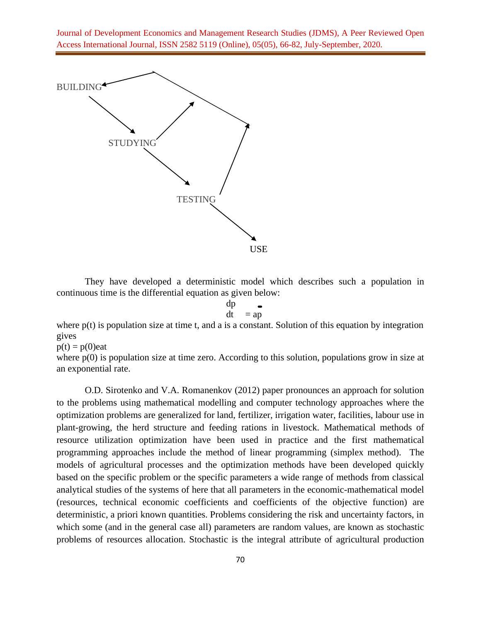

They have developed a deterministic model which describes such a population in continuous time is the differential equation as given below:

$$
\begin{array}{c}\n\text{dp} \\
\text{dt} \quad = \text{ap}\n\end{array}
$$

where  $p(t)$  is population size at time t, and a is a constant. Solution of this equation by integration gives

 $p(t) = p(0)$ eat

where  $p(0)$  is population size at time zero. According to this solution, populations grow in size at an exponential rate.

O.D. Sirotenko and V.A. Romanenkov (2012) paper pronounces an approach for solution to the problems using mathematical modelling and computer technology approaches where the optimization problems are generalized for land, fertilizer, irrigation water, facilities, labour use in plant-growing, the herd structure and feeding rations in livestock. Mathematical methods of resource utilization optimization have been used in practice and the first mathematical programming approaches include the method of linear programming (simplex method). The models of agricultural processes and the optimization methods have been developed quickly based on the specific problem or the specific parameters a wide range of methods from classical analytical studies of the systems of here that all parameters in the economic-mathematical model (resources, technical economic coefficients and coefficients of the objective function) are deterministic, a priori known quantities. Problems considering the risk and uncertainty factors, in which some (and in the general case all) parameters are random values, are known as stochastic problems of resources allocation. Stochastic is the integral attribute of agricultural production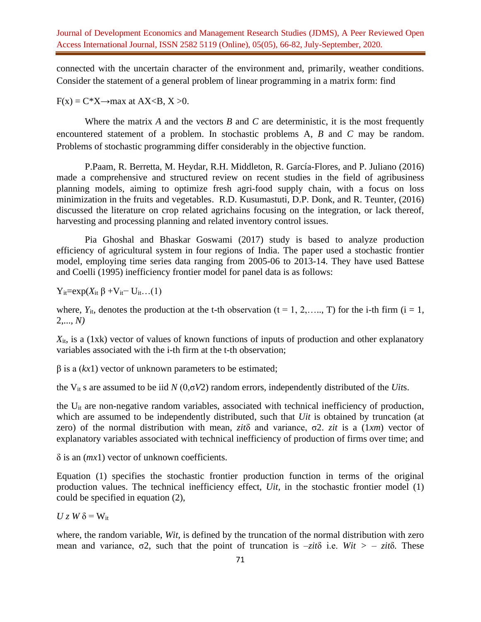connected with the uncertain character of the environment and, primarily, weather conditions. Consider the statement of a general problem of linear programming in a matrix form: find

 $F(x) = C^*X \rightarrow \text{max}$  at  $AX < B$ ,  $X > 0$ .

Where the matrix *A* and the vectors *B* and *C* are deterministic, it is the most frequently encountered statement of a problem. In stochastic problems A*, B* and *C* may be random. Problems of stochastic programming differ considerably in the objective function.

P.Paam, R. Berretta, M. Heydar, R.H. Middleton, R. García-Flores, and P. Juliano (2016) made a comprehensive and structured review on recent studies in the field of agribusiness planning models, aiming to optimize fresh agri-food supply chain, with a focus on loss minimization in the fruits and vegetables. R.D. Kusumastuti, D.P. Donk, and R. Teunter, (2016) discussed the literature on crop related agrichains focusing on the integration, or lack thereof, harvesting and processing planning and related inventory control issues.

Pia Ghoshal and Bhaskar Goswami (2017) study is based to analyze production efficiency of agricultural system in four regions of India. The paper used a stochastic frontier model, employing time series data ranging from 2005-06 to 2013-14. They have used Battese and Coelli (1995) inefficiency frontier model for panel data is as follows:

 $Y_{it}=exp(X_{it} \beta + V_{it}-U_{it} \dots (1))$ 

where,  $Y_{it}$ , denotes the production at the t-th observation ( $t = 1, 2, \ldots, T$ ) for the i-th firm ( $i = 1,$ 2,..., *N)* 

 $X_{it}$ , is a (1xk) vector of values of known functions of inputs of production and other explanatory variables associated with the i-th firm at the t-th observation;

β is a (*kx*1) vector of unknown parameters to be estimated;

the Vit s are assumed to be iid *N* (0,σ*V*2) random errors, independently distributed of the *Uit*s.

the  $U_{it}$  are non-negative random variables, associated with technical inefficiency of production, which are assumed to be independently distributed, such that *Uit* is obtained by truncation (at zero) of the normal distribution with mean, *zit*δ and variance, σ2. *zit* is a (1*xm*) vector of explanatory variables associated with technical inefficiency of production of firms over time; and

δ is an (*mx*1) vector of unknown coefficients.

Equation (1) specifies the stochastic frontier production function in terms of the original production values. The technical inefficiency effect, *Uit*, in the stochastic frontier model (1) could be specified in equation (2),

 $U z W \delta = W_{it}$ 

where, the random variable, *Wit*, is defined by the truncation of the normal distribution with zero mean and variance, σ2*,* such that the point of truncation is –*zit*δ i.e. *Wit > – zit*δ*.* These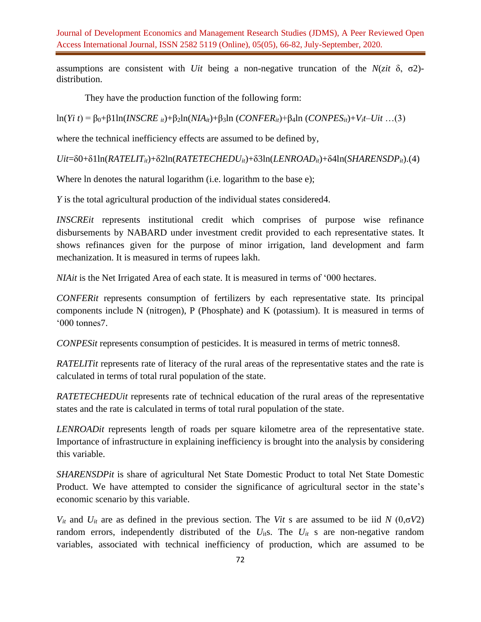assumptions are consistent with *Uit* being a non-negative truncation of the *N*(*zit* δ, σ2) distribution.

They have the production function of the following form:

ln(*Yi t*) = β0+β1ln(*INSCRE it*)+β2ln(*NIAit*)+β3ln (*CONFERit*)+β4ln (*CONPESit*)+*Vit*–*Uit* …(3)

where the technical inefficiency effects are assumed to be defined by,

 $Uit=$ δ0+δ1ln(*RATELIT<sub>it</sub>*)+δ2ln(*RATETECHEDU<sub>it</sub>*)+δ3ln(*LENROAD<sub>it</sub>*)+δ4ln(*SHARENSDP<sub>it</sub>*).(4)

Where ln denotes the natural logarithm (i.e. logarithm to the base e);

*Y* is the total agricultural production of the individual states considered 4.

*INSCREit* represents institutional credit which comprises of purpose wise refinance disbursements by NABARD under investment credit provided to each representative states. It shows refinances given for the purpose of minor irrigation, land development and farm mechanization. It is measured in terms of rupees lakh.

*NIAit* is the Net Irrigated Area of each state. It is measured in terms of '000 hectares.

*CONFERit* represents consumption of fertilizers by each representative state. Its principal components include N (nitrogen), P (Phosphate) and K (potassium). It is measured in terms of '000 tonnes7.

*CONPESit* represents consumption of pesticides. It is measured in terms of metric tonnes8.

*RATELITIt* represents rate of literacy of the rural areas of the representative states and the rate is calculated in terms of total rural population of the state.

*RATETECHEDUit* represents rate of technical education of the rural areas of the representative states and the rate is calculated in terms of total rural population of the state.

*LENROADit* represents length of roads per square kilometre area of the representative state. Importance of infrastructure in explaining inefficiency is brought into the analysis by considering this variable.

*SHARENSDPit* is share of agricultural Net State Domestic Product to total Net State Domestic Product. We have attempted to consider the significance of agricultural sector in the state's economic scenario by this variable.

*V*<sup>*it*</sup> and *U*<sup>*it*</sup> are as defined in the previous section. The *Vit s* are assumed to be iid *N* (0,σ*V*2) random errors, independently distributed of the  $U_{\text{it}}$ s. The  $U_{\text{it}}$  s are non-negative random variables, associated with technical inefficiency of production, which are assumed to be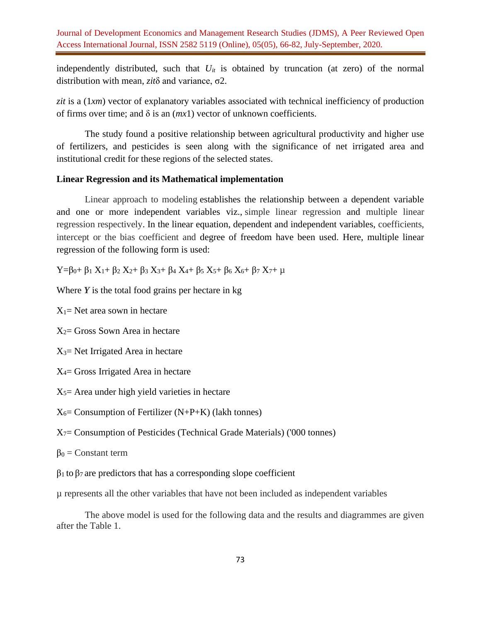independently distributed, such that  $U_{it}$  is obtained by truncation (at zero) of the normal distribution with mean, *zit*δ and variance, σ2.

*zit* is a (1*xm*) vector of explanatory variables associated with technical inefficiency of production of firms over time; and  $\delta$  is an  $(mx1)$  vector of unknown coefficients.

The study found a positive relationship between agricultural productivity and higher use of fertilizers, and pesticides is seen along with the significance of net irrigated area and institutional credit for these regions of the selected states.

## **Linear Regression and its Mathematical implementation**

Linear approach to modeling establishes the relationship between a dependent variable and one or more independent variables viz., simple linear regression and multiple linear regression respectively. In the linear equation, dependent and independent variables, coefficients, intercept or the bias coefficient and degree of freedom have been used. Here, multiple linear regression of the following form is used:

 $Y=\beta_0+\beta_1 X_1+\beta_2 X_2+\beta_3 X_3+\beta_4 X_4+\beta_5 X_5+\beta_6 X_6+\beta_7 X_7+\mu$ 

Where *Y* is the total food grains per hectare in kg

 $X_1$ = Net area sown in hectare

 $X_2$ = Gross Sown Area in hectare

 $X_3$ = Net Irrigated Area in hectare

- X4= Gross Irrigated Area in hectare
- $X<sub>5</sub>=$  Area under high yield varieties in hectare

 $X_6$ = Consumption of Fertilizer (N+P+K) (lakh tonnes)

X7= Consumption of Pesticides (Technical Grade Materials) ('000 tonnes)

 $β<sub>0</sub> = Constant term$ 

 $β<sub>1</sub>$  to  $β<sub>7</sub>$  are predictors that has a corresponding slope coefficient

µ represents all the other variables that have not been included as independent variables

The above model is used for the following data and the results and diagrammes are given after the Table 1.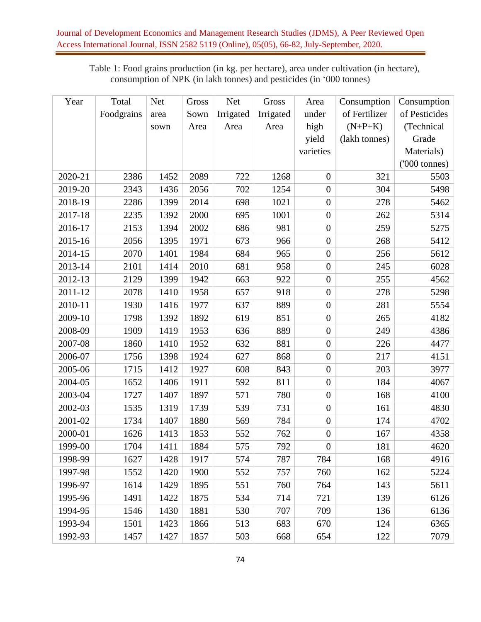Table 1: Food grains production (in kg. per hectare), area under cultivation (in hectare), consumption of NPK (in lakh tonnes) and pesticides (in '000 tonnes)

| Year    | Total      | <b>Net</b> | Gross | <b>Net</b> | Gross     | Area             | Consumption   | Consumption   |
|---------|------------|------------|-------|------------|-----------|------------------|---------------|---------------|
|         | Foodgrains | area       | Sown  | Irrigated  | Irrigated | under            | of Fertilizer | of Pesticides |
|         |            | sown       | Area  | Area       | Area      | high             | $(N+P+K)$     | (Technical    |
|         |            |            |       |            |           | yield            | (lakh tonnes) | Grade         |
|         |            |            |       |            |           | varieties        |               | Materials)    |
|         |            |            |       |            |           |                  |               | ('000 tonnes) |
| 2020-21 | 2386       | 1452       | 2089  | 722        | 1268      | $\overline{0}$   | 321           | 5503          |
| 2019-20 | 2343       | 1436       | 2056  | 702        | 1254      | $\overline{0}$   | 304           | 5498          |
| 2018-19 | 2286       | 1399       | 2014  | 698        | 1021      | $\overline{0}$   | 278           | 5462          |
| 2017-18 | 2235       | 1392       | 2000  | 695        | 1001      | $\overline{0}$   | 262           | 5314          |
| 2016-17 | 2153       | 1394       | 2002  | 686        | 981       | $\overline{0}$   | 259           | 5275          |
| 2015-16 | 2056       | 1395       | 1971  | 673        | 966       | $\overline{0}$   | 268           | 5412          |
| 2014-15 | 2070       | 1401       | 1984  | 684        | 965       | $\boldsymbol{0}$ | 256           | 5612          |
| 2013-14 | 2101       | 1414       | 2010  | 681        | 958       | $\overline{0}$   | 245           | 6028          |
| 2012-13 | 2129       | 1399       | 1942  | 663        | 922       | $\overline{0}$   | 255           | 4562          |
| 2011-12 | 2078       | 1410       | 1958  | 657        | 918       | $\overline{0}$   | 278           | 5298          |
| 2010-11 | 1930       | 1416       | 1977  | 637        | 889       | $\overline{0}$   | 281           | 5554          |
| 2009-10 | 1798       | 1392       | 1892  | 619        | 851       | $\overline{0}$   | 265           | 4182          |
| 2008-09 | 1909       | 1419       | 1953  | 636        | 889       | $\overline{0}$   | 249           | 4386          |
| 2007-08 | 1860       | 1410       | 1952  | 632        | 881       | $\overline{0}$   | 226           | 4477          |
| 2006-07 | 1756       | 1398       | 1924  | 627        | 868       | $\overline{0}$   | 217           | 4151          |
| 2005-06 | 1715       | 1412       | 1927  | 608        | 843       | $\overline{0}$   | 203           | 3977          |
| 2004-05 | 1652       | 1406       | 1911  | 592        | 811       | $\overline{0}$   | 184           | 4067          |
| 2003-04 | 1727       | 1407       | 1897  | 571        | 780       | $\boldsymbol{0}$ | 168           | 4100          |
| 2002-03 | 1535       | 1319       | 1739  | 539        | 731       | $\overline{0}$   | 161           | 4830          |
| 2001-02 | 1734       | 1407       | 1880  | 569        | 784       | $\boldsymbol{0}$ | 174           | 4702          |
| 2000-01 | 1626       | 1413       | 1853  | 552        | 762       | $\overline{0}$   | 167           | 4358          |
| 1999-00 | 1704       | 1411       | 1884  | 575        | 792       | $\boldsymbol{0}$ | 181           | 4620          |
| 1998-99 | 1627       | 1428       | 1917  | 574        | 787       | 784              | 168           | 4916          |
| 1997-98 | 1552       | 1420       | 1900  | 552        | 757       | 760              | 162           | 5224          |
| 1996-97 | 1614       | 1429       | 1895  | 551        | 760       | 764              | 143           | 5611          |
| 1995-96 | 1491       | 1422       | 1875  | 534        | 714       | 721              | 139           | 6126          |
| 1994-95 | 1546       | 1430       | 1881  | 530        | 707       | 709              | 136           | 6136          |
| 1993-94 | 1501       | 1423       | 1866  | 513        | 683       | 670              | 124           | 6365          |
| 1992-93 | 1457       | 1427       | 1857  | 503        | 668       | 654              | 122           | 7079          |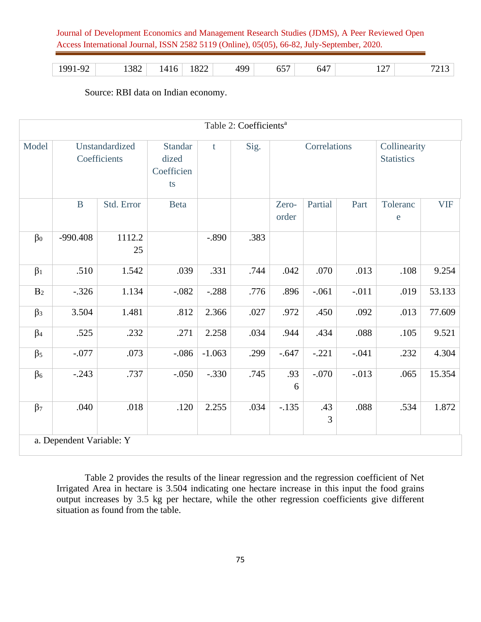|  | 1991-92 | 1382 | 1416 | 1822 | 499 | $  -$<br>65 | 647 | ררו | $\angle 12$ |
|--|---------|------|------|------|-----|-------------|-----|-----|-------------|
|--|---------|------|------|------|-----|-------------|-----|-----|-------------|

Source: RBI data on Indian economy.

|                      |                          |                                |                                             |          | Table 2: Coefficients <sup>a</sup> |                |          |         |                                   |            |
|----------------------|--------------------------|--------------------------------|---------------------------------------------|----------|------------------------------------|----------------|----------|---------|-----------------------------------|------------|
| Model                |                          | Unstandardized<br>Coefficients | <b>Standar</b><br>dized<br>Coefficien<br>ts | t        | Sig.                               | Correlations   |          |         | Collinearity<br><b>Statistics</b> |            |
|                      | $\, {\bf B}$             | Std. Error                     | <b>Beta</b>                                 |          |                                    | Zero-<br>order | Partial  | Part    | Toleranc<br>$\mathbf e$           | <b>VIF</b> |
| $\beta_0$            | -990.408                 | 1112.2<br>25                   |                                             | $-.890$  | .383                               |                |          |         |                                   |            |
| $\beta_1$            | .510                     | 1.542                          | .039                                        | .331     | .744                               | .042           | .070     | .013    | .108                              | 9.254      |
| B <sub>2</sub>       | $-.326$                  | 1.134                          | $-.082$                                     | $-.288$  | .776                               | .896           | $-.061$  | $-.011$ | .019                              | 53.133     |
| $\beta_3$            | 3.504                    | 1.481                          | .812                                        | 2.366    | .027                               | .972           | .450     | .092    | .013                              | 77.609     |
| $\beta_4$            | .525                     | .232                           | .271                                        | 2.258    | .034                               | .944           | .434     | .088    | .105                              | 9.521      |
| $\beta$ <sub>5</sub> | $-.077$                  | .073                           | $-.086$                                     | $-1.063$ | .299                               | $-.647$        | $-.221$  | $-.041$ | .232                              | 4.304      |
| $\beta_6$            | $-.243$                  | .737                           | $-.050$                                     | $-.330$  | .745                               | .93<br>6       | $-.070$  | $-.013$ | .065                              | 15.354     |
| $\beta$ 7            | .040                     | .018                           | .120                                        | 2.255    | .034                               | $-.135$        | .43<br>3 | .088    | .534                              | 1.872      |
|                      | a. Dependent Variable: Y |                                |                                             |          |                                    |                |          |         |                                   |            |

Table 2 provides the results of the linear regression and the regression coefficient of Net Irrigated Area in hectare is 3.504 indicating one hectare increase in this input the food grains output increases by 3.5 kg per hectare, while the other regression coefficients give different situation as found from the table.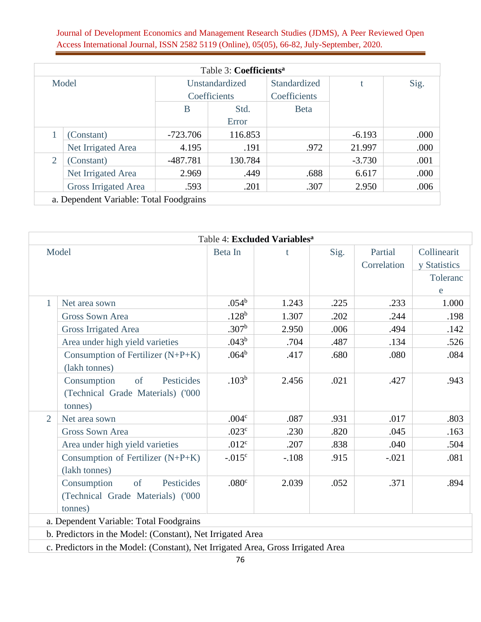|                 |                             |            | Table 3: Coefficients <sup>a</sup> |              |          |      |
|-----------------|-----------------------------|------------|------------------------------------|--------------|----------|------|
| Model           |                             |            | Unstandardized                     | Standardized |          | Sig. |
|                 |                             |            | Coefficients                       | Coefficients |          |      |
|                 |                             | B          | Std.                               | <b>B</b> eta |          |      |
|                 |                             |            | Error                              |              |          |      |
| (Constant)      |                             | $-723.706$ | 116.853                            |              | $-6.193$ | .000 |
|                 | Net Irrigated Area          | 4.195      | .191                               | .972         | 21.997   | .000 |
| 2<br>(Constant) |                             | $-487.781$ | 130.784                            |              | $-3.730$ | .001 |
|                 | Net Irrigated Area          | 2.969      | .449                               | .688         | 6.617    | .000 |
|                 | <b>Gross Irrigated Area</b> | .593       | .201                               | .307         | 2.950    | .006 |

|                | Table 4: Excluded Variables <sup>a</sup>                                         |                   |         |      |                        |                             |  |  |
|----------------|----------------------------------------------------------------------------------|-------------------|---------|------|------------------------|-----------------------------|--|--|
|                | Model                                                                            |                   | t       | Sig. | Partial<br>Correlation | Collinearit<br>y Statistics |  |  |
|                |                                                                                  |                   |         |      |                        | Toleranc                    |  |  |
|                |                                                                                  |                   |         |      |                        | e                           |  |  |
| 1              | Net area sown                                                                    | .054 <sup>b</sup> | 1.243   | .225 | .233                   | 1.000                       |  |  |
|                | <b>Gross Sown Area</b>                                                           | .128 <sup>b</sup> | 1.307   | .202 | .244                   | .198                        |  |  |
|                | <b>Gross Irrigated Area</b>                                                      | .307 <sup>b</sup> | 2.950   | .006 | .494                   | .142                        |  |  |
|                | Area under high yield varieties                                                  | $.043^b$          | .704    | .487 | .134                   | .526                        |  |  |
|                | Consumption of Fertilizer (N+P+K)                                                | $.064^{\rm b}$    | .417    | .680 | .080                   | .084                        |  |  |
|                | (lakh tonnes)                                                                    |                   |         |      |                        |                             |  |  |
|                | Consumption<br>Pesticides<br>of                                                  | .103 <sup>b</sup> | 2.456   | .021 | .427                   | .943                        |  |  |
|                | (Technical Grade Materials) ('000                                                |                   |         |      |                        |                             |  |  |
|                | tonnes)                                                                          |                   |         |      |                        |                             |  |  |
| $\overline{2}$ | Net area sown                                                                    | .004 <sup>c</sup> | .087    | .931 | .017                   | .803                        |  |  |
|                | <b>Gross Sown Area</b>                                                           | .023 <sup>c</sup> | .230    | .820 | .045                   | .163                        |  |  |
|                | Area under high yield varieties                                                  | .012 <sup>c</sup> | .207    | .838 | .040                   | .504                        |  |  |
|                | Consumption of Fertilizer (N+P+K)                                                | $-0.015^{\circ}$  | $-.108$ | .915 | $-.021$                | .081                        |  |  |
|                | (lakh tonnes)                                                                    |                   |         |      |                        |                             |  |  |
|                | Pesticides<br>of<br>Consumption                                                  | .080 <sup>c</sup> | 2.039   | .052 | .371                   | .894                        |  |  |
|                | (Technical Grade Materials) ('000                                                |                   |         |      |                        |                             |  |  |
|                | tonnes)                                                                          |                   |         |      |                        |                             |  |  |
|                | a. Dependent Variable: Total Foodgrains                                          |                   |         |      |                        |                             |  |  |
|                | b. Predictors in the Model: (Constant), Net Irrigated Area                       |                   |         |      |                        |                             |  |  |
|                | c. Predictors in the Model: (Constant), Net Irrigated Area, Gross Irrigated Area |                   |         |      |                        |                             |  |  |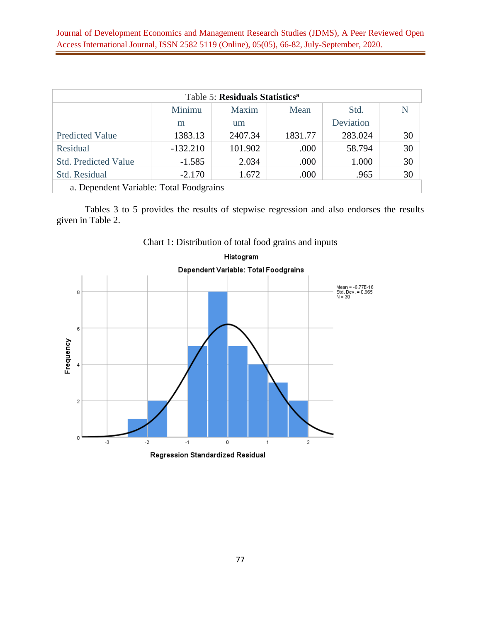| Table 5: Residuals Statistics <sup>a</sup> |            |         |         |           |    |  |  |  |  |  |
|--------------------------------------------|------------|---------|---------|-----------|----|--|--|--|--|--|
| Minimu<br>Maxim<br>Mean<br>Std.            |            |         |         |           |    |  |  |  |  |  |
|                                            | m          | um      |         | Deviation |    |  |  |  |  |  |
| <b>Predicted Value</b>                     | 1383.13    | 2407.34 | 1831.77 | 283.024   | 30 |  |  |  |  |  |
| Residual                                   | $-132.210$ | 101.902 | .000    | 58.794    | 30 |  |  |  |  |  |
| <b>Std. Predicted Value</b>                | $-1.585$   | 2.034   | .000    | 1.000     | 30 |  |  |  |  |  |
| <b>Std. Residual</b>                       | $-2.170$   | 1.672   | .000    | .965      | 30 |  |  |  |  |  |
| a. Dependent Variable: Total Foodgrains    |            |         |         |           |    |  |  |  |  |  |

Tables 3 to 5 provides the results of stepwise regression and also endorses the results given in Table 2.



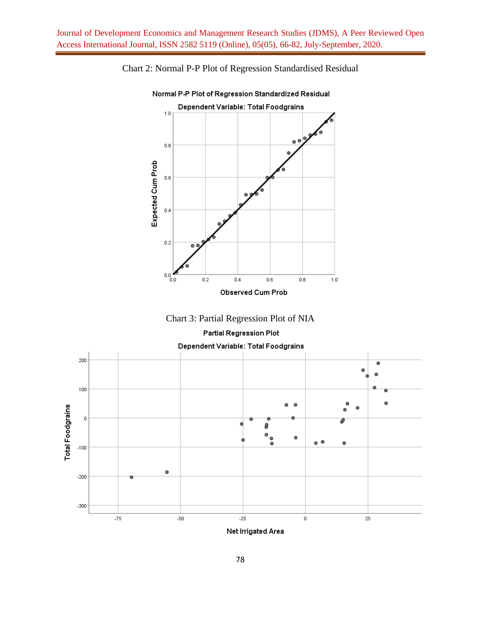

Chart 2: Normal P-P Plot of Regression Standardised Residual







Net Irrigated Area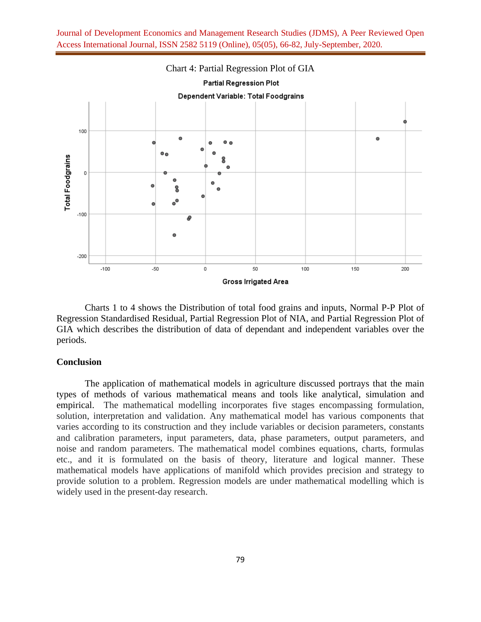

Charts 1 to 4 shows the Distribution of total food grains and inputs, Normal P-P Plot of Regression Standardised Residual, Partial Regression Plot of NIA, and Partial Regression Plot of GIA which describes the distribution of data of dependant and independent variables over the periods.

### **Conclusion**

The application of mathematical models in agriculture discussed portrays that the main types of methods of various mathematical means and tools like analytical, simulation and empirical. The mathematical modelling incorporates five stages encompassing formulation, solution, interpretation and validation. Any mathematical model has various components that varies according to its construction and they include variables or decision parameters, constants and calibration parameters, input parameters, data, phase parameters, output parameters, and noise and random parameters. The mathematical model combines equations, charts, formulas etc., and it is formulated on the basis of theory, literature and logical manner. These mathematical models have applications of manifold which provides precision and strategy to provide solution to a problem. Regression models are under mathematical modelling which is widely used in the present-day research.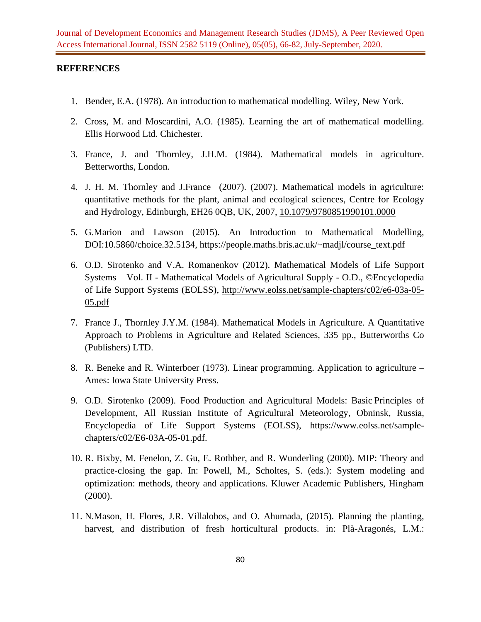## **REFERENCES**

- 1. Bender, E.A. (1978). An introduction to mathematical modelling. Wiley, New York.
- 2. Cross, M. and Moscardini, A.O. (1985). Learning the art of mathematical modelling. Ellis Horwood Ltd. Chichester.
- 3. France, J. and Thornley, J.H.M. (1984). Mathematical models in agriculture. Betterworths, London.
- 4. J. H. M. Thornley and J.France (2007). (2007). Mathematical models in agriculture: quantitative methods for the plant, animal and ecological sciences, Centre for Ecology and Hydrology, Edinburgh, EH26 0QB, UK, 2007, [10.1079/9780851990101.0000](http://dx.doi.org/10.1079/9780851990101.0000)
- 5. G.Marion and Lawson (2015). An Introduction to Mathematical Modelling, DOI:10.5860/choice.32.5134, https://people.maths.bris.ac.uk/~madjl/course\_text.pdf
- 6. O.D. Sirotenko and V.A. Romanenkov (2012). Mathematical Models of Life Support Systems – Vol. II - Mathematical Models of Agricultural Supply - O.D., ©Encyclopedia of Life Support Systems (EOLSS), [http://www.eolss.net/sample-chapters/c02/e6-03a-05-](http://www.eolss.net/sample-chapters/c02/e6-03a-05-05.pdf) [05.pdf](http://www.eolss.net/sample-chapters/c02/e6-03a-05-05.pdf)
- 7. France J., Thornley J.Y.M. (1984). Mathematical Models in Agriculture. A Quantitative Approach to Problems in Agriculture and Related Sciences, 335 pp., Butterworths Co (Publishers) LTD.
- 8. R. Beneke and R. Winterboer (1973). Linear programming. Application to agriculture Ames: Iowa State University Press.
- 9. O.D. Sirotenko (2009). Food Production and Agricultural Models: Basic Principles of Development, All Russian Institute of Agricultural Meteorology, Obninsk, Russia, Encyclopedia of Life Support Systems (EOLSS), https://www.eolss.net/samplechapters/c02/E6-03A-05-01.pdf.
- 10. R. Bixby, M. Fenelon, Z. Gu, E. Rothber, and R. Wunderling (2000). MIP: Theory and practice-closing the gap. In: Powell, M., Scholtes, S. (eds.): System modeling and optimization: methods, theory and applications. Kluwer Academic Publishers, Hingham (2000).
- 11. N.Mason, H. Flores, J.R. Villalobos, and O. Ahumada, (2015). Planning the planting, harvest, and distribution of fresh horticultural products. in: Plà-Aragonés, L.M.: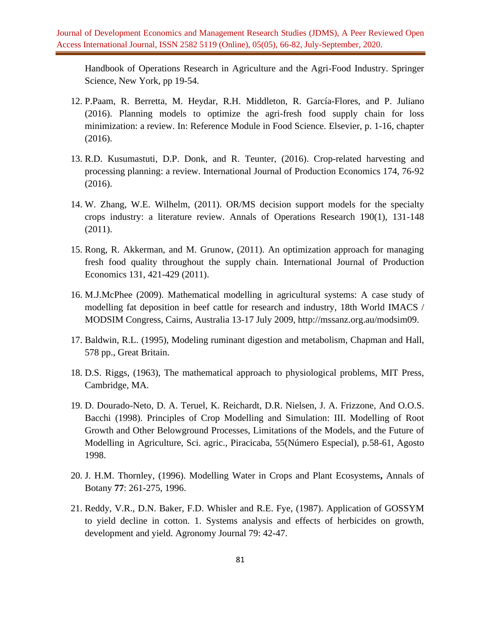Handbook of Operations Research in Agriculture and the Agri-Food Industry. Springer Science, New York, pp 19-54.

- 12. P.Paam, R. Berretta, M. Heydar, R.H. Middleton, R. García-Flores, and P. Juliano (2016). Planning models to optimize the agri-fresh food supply chain for loss minimization: a review. In: Reference Module in Food Science. Elsevier, p. 1-16, chapter (2016).
- 13. R.D. Kusumastuti, D.P. Donk, and R. Teunter, (2016). Crop-related harvesting and processing planning: a review. International Journal of Production Economics 174, 76-92 (2016).
- 14. W. Zhang, W.E. Wilhelm, (2011). OR/MS decision support models for the specialty crops industry: a literature review. Annals of Operations Research 190(1), 131-148 (2011).
- 15. Rong, R. Akkerman, and M. Grunow, (2011). An optimization approach for managing fresh food quality throughout the supply chain. International Journal of Production Economics 131, 421-429 (2011).
- 16. M.J.McPhee (2009). Mathematical modelling in agricultural systems: A case study of modelling fat deposition in beef cattle for research and industry, 18th World IMACS / MODSIM Congress, Cairns, Australia 13-17 July 2009, http://mssanz.org.au/modsim09.
- 17. Baldwin, R.L. (1995), Modeling ruminant digestion and metabolism, Chapman and Hall, 578 pp., Great Britain.
- 18. D.S. Riggs, (1963), The mathematical approach to physiological problems, MIT Press, Cambridge, MA.
- 19. D. Dourado-Neto, D. A. Teruel, K. Reichardt, D.R. Nielsen, J. A. Frizzone, And O.O.S. Bacchi (1998). Principles of Crop Modelling and Simulation: III. Modelling of Root Growth and Other Belowground Processes, Limitations of the Models, and the Future of Modelling in Agriculture, Sci. agric., Piracicaba, 55(Número Especial), p.58-61, Agosto 1998.
- 20. J. H.M. Thornley, (1996). Modelling Water in Crops and Plant Ecosystems**,** Annals of Botany **77**: 261-275, 1996.
- 21. Reddy, V.R., D.N. Baker, F.D. Whisler and R.E. Fye, (1987). Application of GOSSYM to yield decline in cotton. 1. Systems analysis and effects of herbicides on growth, development and yield. Agronomy Journal 79: 42-47.